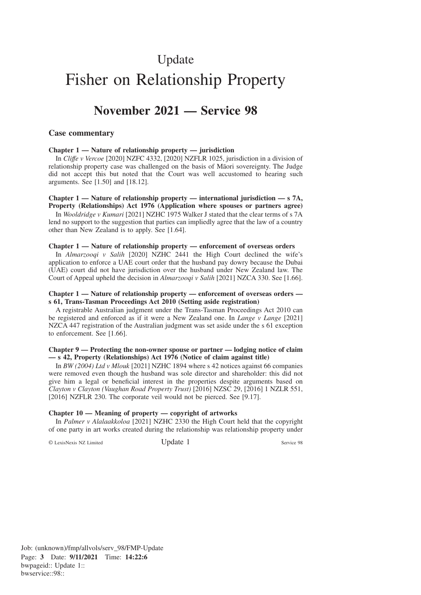# Update Fisher on Relationship Property

# **November 2021 — Service 98**

# **Case commentary**

#### **Chapter 1 — Nature of relationship property — jurisdiction**

In *Cliffe v Vercoe* [2020] NZFC 4332, [2020] NZFLR 1025, jurisdiction in a division of relationship property case was challenged on the basis of Maori sovereignty. The Judge did not accept this but noted that the Court was well accustomed to hearing such arguments. See [1.50] and [18.12].

#### **Chapter 1 — Nature of relationship property — international jurisdiction — s 7A, Property (Relationships) Act 1976 (Application where spouses or partners agree)**

In *Wooldridge v Kumari* [2021] NZHC 1975 Walker J stated that the clear terms of s 7A lend no support to the suggestion that parties can impliedly agree that the law of a country other than New Zealand is to apply. See [1.64].

#### **Chapter 1 — Nature of relationship property — enforcement of overseas orders**

In *Almarzooqi v Salih* [2020] NZHC 2441 the High Court declined the wife's application to enforce a UAE court order that the husband pay dowry because the Dubai (UAE) court did not have jurisdiction over the husband under New Zealand law. The Court of Appeal upheld the decision in *Almarzooqi v Salih* [2021] NZCA 330. See [1.66].

## **Chapter 1 — Nature of relationship property — enforcement of overseas orders s 61, Trans-Tasman Proceedings Act 2010 (Setting aside registration)**

A registrable Australian judgment under the Trans-Tasman Proceedings Act 2010 can be registered and enforced as if it were a New Zealand one. In *Lange v Lange* [2021] NZCA 447 registration of the Australian judgment was set aside under the s 61 exception to enforcement. See [1.66].

### **Chapter 9 — Protecting the non-owner spouse or partner — lodging notice of claim — s 42, Property (Relationships) Act 1976 (Notice of claim against title)**

In *BW (2004) Ltd v Mlouk* [2021] NZHC 1894 where s 42 notices against 66 companies were removed even though the husband was sole director and shareholder: this did not give him a legal or beneficial interest in the properties despite arguments based on *Clayton v Clayton (Vaughan Road Property Trust)* [2016] NZSC 29, [2016] 1 NZLR 551, [2016] NZFLR 230. The corporate veil would not be pierced. See [9.17].

### **Chapter 10 — Meaning of property — copyright of artworks**

In *Palmer v Alalaakkoloa* [2021] NZHC 2330 the High Court held that the copyright of one party in art works created during the relationship was relationship property under

© LexisNexis NZ Limited Update 1 Service 98